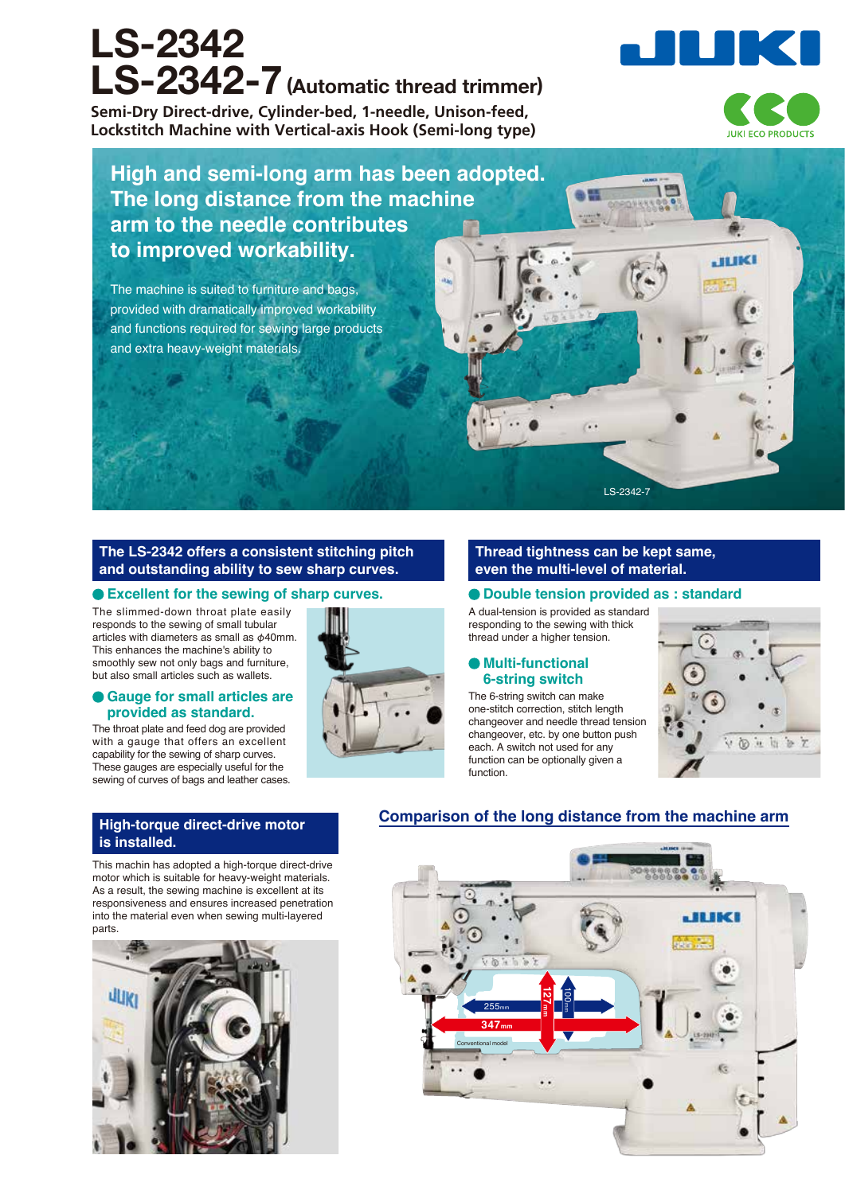# **LS-2342 LS-2342-7(Automatic thread trimmer)**

**Semi-Dry Direct-drive, Cylinder-bed, 1-needle, Unison-feed, Lockstitch Machine with Vertical-axis Hook (Semi-long type)**



**JUKI** 

# **High and semi-long arm has been adopted. The long distance from the machine arm to the needle contributes to improved workability.**

The machine is suited to furniture and bags, provided with dramatically improved workability and functions required for sewing large products and extra heavy-weight materials.

#### **The LS-2342 offers a consistent stitching pitch and outstanding ability to sew sharp curves.**

#### **Excellent for the sewing of sharp curves.**

The slimmed-down throat plate easily responds to the sewing of small tubular articles with diameters as small as φ40mm. This enhances the machine's ability to smoothly sew not only bags and furniture, but also small articles such as wallets.

#### **Gauge for small articles are provided as standard.**

The throat plate and feed dog are provided with a gauge that offers an excellent capability for the sewing of sharp curves. These gauges are especially useful for the sewing of curves of bags and leather cases.

#### **Thread tightness can be kept same, even the multi-level of material.**

LS-2342-7

**Double tension provided as : standard**

A dual-tension is provided as standard responding to the sewing with thick thread under a higher tension.

#### **Multi-functional 6-string switch**

The 6-string switch can make one-stitch correction, stitch length changeover and needle thread tension changeover, etc. by one button push each. A switch not used for any function can be optionally given a function.



## **Comparison of the long distance from the machine arm**

This machin has adopted a high-torque direct-drive motor which is suitable for heavy-weight materials. As a result, the sewing machine is excellent at its responsiveness and ensures increased penetration into the material even when sewing multi-layered **is installed.**

**High-torque direct-drive motor**